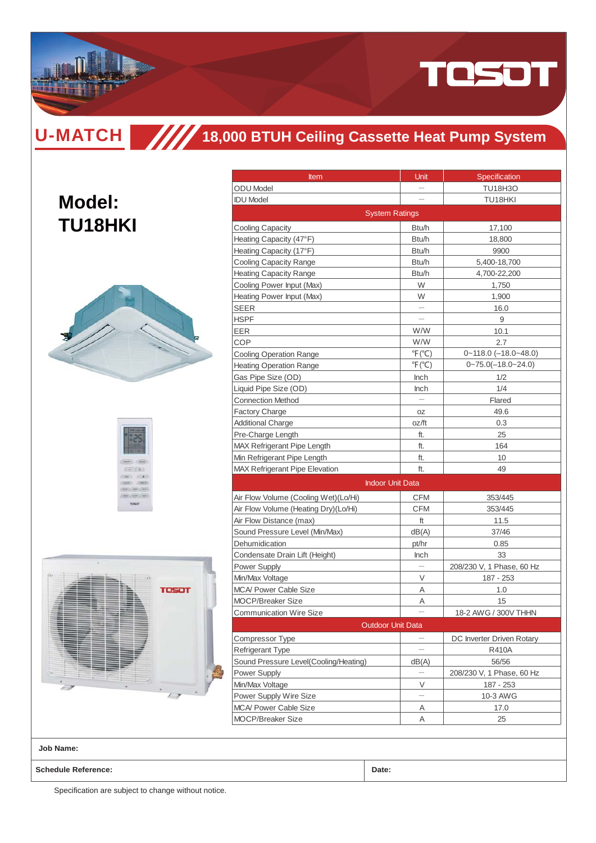

**Model:**

**TU18HKI**

# **18,000 BTUH Ceiling Cassette Heat Pump System**





| <b>Item</b>                                     | Unit                      | Specification             |
|-------------------------------------------------|---------------------------|---------------------------|
| <b>ODU</b> Model                                |                           | TU18H3O                   |
| <b>IDU Model</b>                                |                           | TU18HKI                   |
|                                                 | <b>System Ratings</b>     |                           |
| <b>Cooling Capacity</b>                         | Btu/h                     | 17,100                    |
| Heating Capacity (47°F)                         | Btu/h                     | 18,800                    |
| Heating Capacity (17°F)                         | Btu/h                     | 9900                      |
| Cooling Capacity Range                          | Btu/h                     | 5,400-18,700              |
| <b>Heating Capacity Range</b>                   | Btu/h                     | 4,700-22,200              |
| Cooling Power Input (Max)                       | W                         | 1,750                     |
| Heating Power Input (Max)                       | W                         | 1,900                     |
| SEER                                            |                           | 16.0                      |
| HSPF                                            |                           | 9                         |
| EER                                             | W/W                       | 10.1                      |
| COP                                             | W/W                       | 2.7                       |
| <b>Cooling Operation Range</b>                  | $\degree$ F( $\degree$ C) | $0 - 118.0$ (-18.0~48.0)  |
| <b>Heating Operation Range</b>                  | $\degree$ F( $\degree$ C) | $0 - 75.0(-18.0 - 24.0)$  |
| Gas Pipe Size (OD)                              | Inch                      | 1/2                       |
| Liquid Pipe Size (OD)                           | <b>Inch</b>               | 1/4                       |
| <b>Connection Method</b>                        |                           | Flared                    |
| <b>Factory Charge</b>                           | OZ                        | 49.6                      |
| <b>Additional Charge</b>                        | oz/ft                     | 0.3                       |
| Pre-Charge Length                               | ft.                       | 25                        |
| MAX Refrigerant Pipe Length                     | ft.                       | 164                       |
| Min Refrigerant Pipe Length                     | ft.                       | 10                        |
| <b>MAX Refrigerant Pipe Elevation</b>           | ft.                       | 49                        |
|                                                 | <b>Indoor Unit Data</b>   |                           |
| Air Flow Volume (Cooling Wet)(Lo/Hi)            | <b>CFM</b>                | 353/445                   |
| Air Flow Volume (Heating Dry)(Lo/Hi)            | <b>CFM</b>                | 353/445                   |
| Air Flow Distance (max)                         | ft                        | 11.5                      |
| Sound Pressure Level (Min/Max)                  | dB(A)                     | 37/46                     |
| Dehumidication                                  | pt/hr                     | 0.85                      |
| Condensate Drain Lift (Height)                  | <b>Inch</b>               | 33                        |
| Power Supply                                    |                           | 208/230 V, 1 Phase, 60 Hz |
|                                                 |                           |                           |
| Min/Max Voltage<br><b>MCA/ Power Cable Size</b> | V                         | 187 - 253                 |
| <b>MOCP/Breaker Size</b>                        | Α<br>A                    | 1.0<br>15                 |
|                                                 |                           |                           |
| <b>Communication Wire Size</b>                  | <b>Outdoor Unit Data</b>  | 18-2 AWG / 300V THHN      |
| Compressor Type                                 |                           | DC Inverter Driven Rotary |
| Refrigerant Type                                |                           | R410A                     |
| Sound Pressure Level(Cooling/Heating)           |                           | 56/56                     |
| Power Supply                                    | dB(A)                     | 208/230 V, 1 Phase, 60 Hz |
| Min/Max Voltage                                 | V                         | 187 - 253                 |
|                                                 |                           | 10-3 AWG                  |
| Power Supply Wire Size                          |                           |                           |
| <b>MCA/ Power Cable Size</b>                    | Α                         | 17.0                      |
| <b>MOCP/Breaker Size</b>                        | Α                         | 25                        |

**Job Name:**

**Schedule Reference: Date:**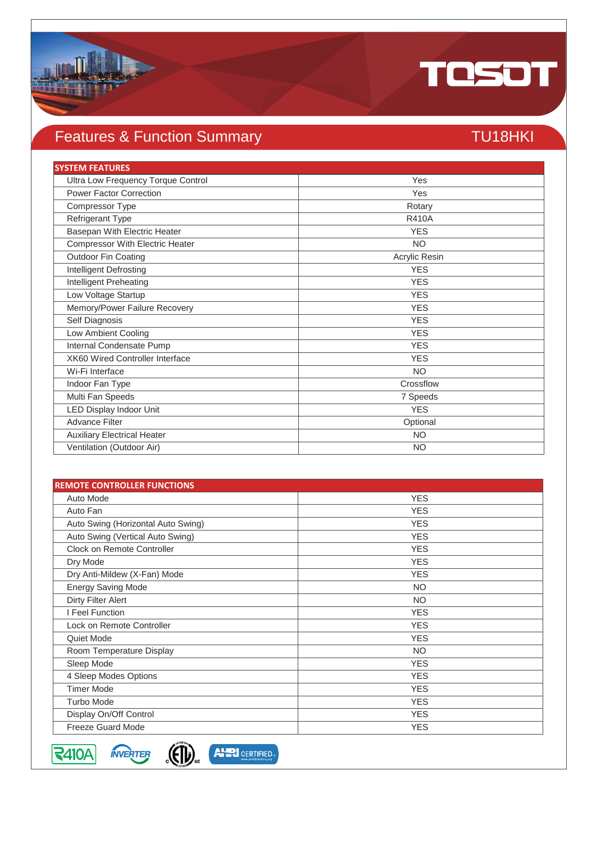

## Features & Function Summary TU18HKI

| <b>SYSTEM FEATURES</b>                 |               |
|----------------------------------------|---------------|
| Ultra Low Frequency Torque Control     | Yes           |
| <b>Power Factor Correction</b>         | Yes           |
| Compressor Type                        | Rotary        |
| Refrigerant Type                       | <b>R410A</b>  |
| Basepan With Electric Heater           | <b>YES</b>    |
| <b>Compressor With Electric Heater</b> | <b>NO</b>     |
| Outdoor Fin Coating                    | Acrylic Resin |
| Intelligent Defrosting                 | <b>YES</b>    |
| Intelligent Preheating                 | <b>YES</b>    |
| Low Voltage Startup                    | <b>YES</b>    |
| Memory/Power Failure Recovery          | <b>YES</b>    |
| Self Diagnosis                         | <b>YES</b>    |
| Low Ambient Cooling                    | <b>YES</b>    |
| Internal Condensate Pump               | <b>YES</b>    |
| XK60 Wired Controller Interface        | <b>YES</b>    |
| Wi-Fi Interface                        | <b>NO</b>     |
| Indoor Fan Type                        | Crossflow     |
| Multi Fan Speeds                       | 7 Speeds      |
| <b>LED Display Indoor Unit</b>         | <b>YES</b>    |
| <b>Advance Filter</b>                  | Optional      |
| <b>Auxiliary Electrical Heater</b>     | <b>NO</b>     |
| Ventilation (Outdoor Air)              | <b>NO</b>     |

| <b>REMOTE CONTROLLER FUNCTIONS</b> |            |  |  |
|------------------------------------|------------|--|--|
| Auto Mode                          | <b>YES</b> |  |  |
| Auto Fan                           | <b>YES</b> |  |  |
| Auto Swing (Horizontal Auto Swing) | <b>YES</b> |  |  |
| Auto Swing (Vertical Auto Swing)   | <b>YES</b> |  |  |
| Clock on Remote Controller         | <b>YES</b> |  |  |
| Dry Mode                           | <b>YES</b> |  |  |
| Dry Anti-Mildew (X-Fan) Mode       | <b>YES</b> |  |  |
| <b>Energy Saving Mode</b>          | <b>NO</b>  |  |  |
| Dirty Filter Alert                 | <b>NO</b>  |  |  |
| I Feel Function                    | <b>YES</b> |  |  |
| Lock on Remote Controller          | <b>YES</b> |  |  |
| Quiet Mode                         | <b>YES</b> |  |  |
| Room Temperature Display           | <b>NO</b>  |  |  |
| Sleep Mode                         | <b>YES</b> |  |  |
| 4 Sleep Modes Options              | <b>YES</b> |  |  |
| <b>Timer Mode</b>                  | <b>YES</b> |  |  |
| <b>Turbo Mode</b>                  | <b>YES</b> |  |  |
| Display On/Off Control             | <b>YES</b> |  |  |
| <b>Freeze Guard Mode</b>           | <b>YES</b> |  |  |

**INVERTER**  $\sqrt{\sqrt{2410A}}$ 



**AHRI** CERTIFIED.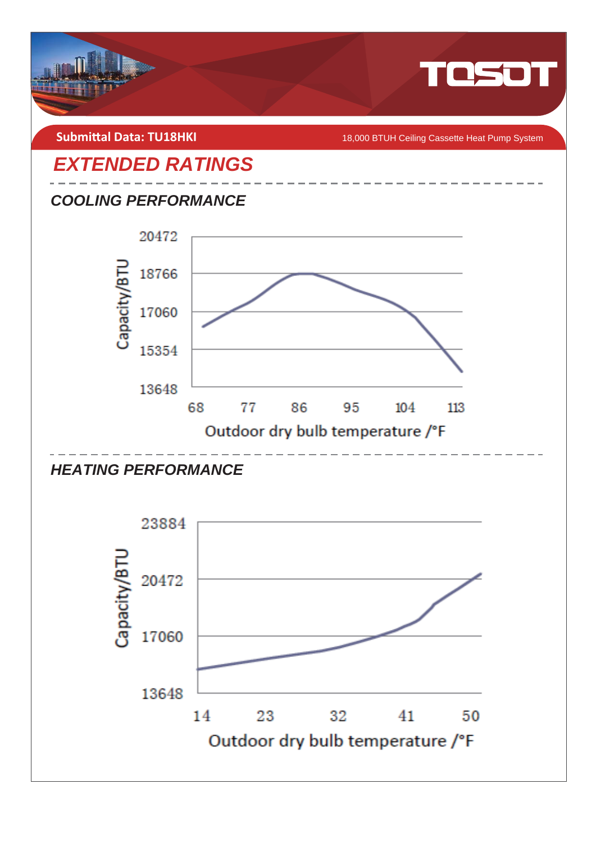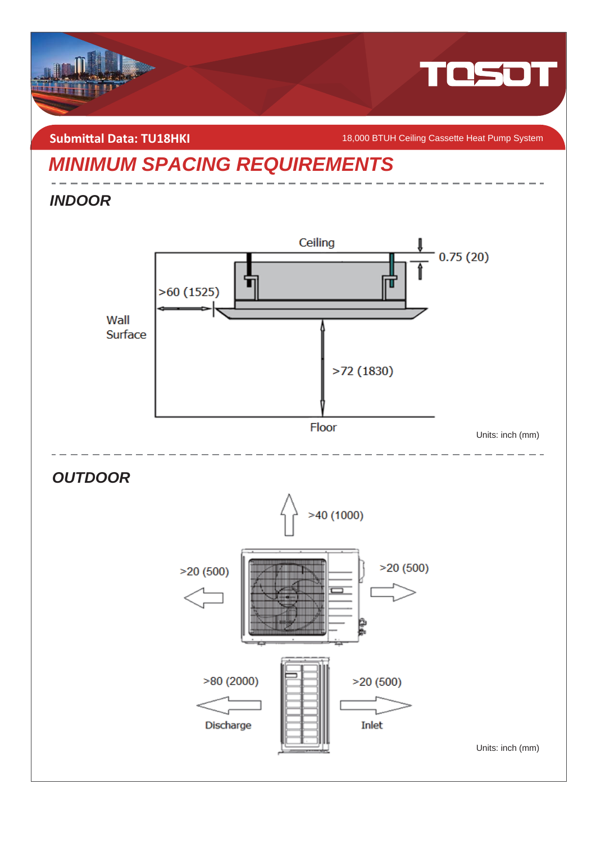

### **Submittal Data: TU18HKI**

18,000 BTUH Ceiling Cassette Heat Pump System

Units: inch (mm)

## *MINIMUM SPACING REQUIREMENTS*

 $>80(2000)$ 

Discharge

### *INDOOR*



 $>20(500)$ 

Inlet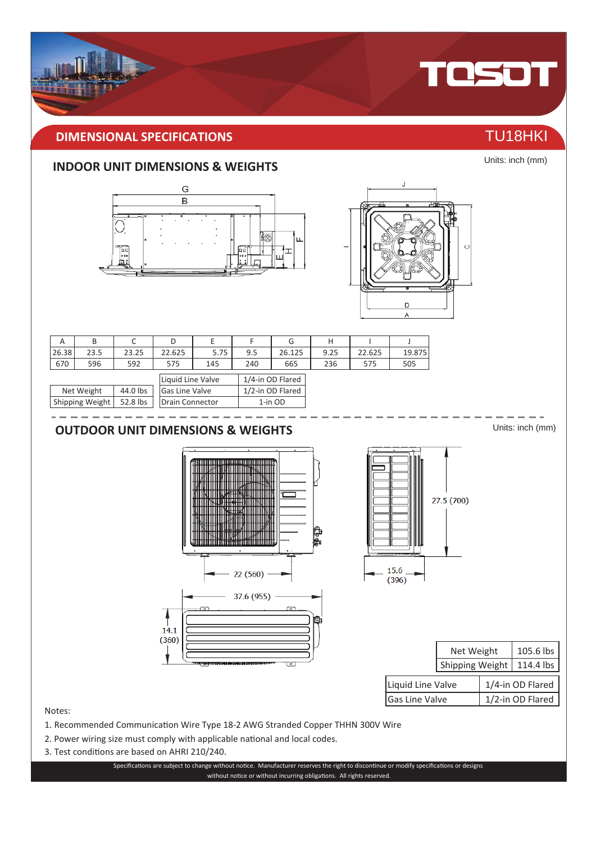### **IMENSIONAL SPECIFICATIONS** THE CONSTRUCTION OF TU18HKI

### **INDOOR UNIT DIMENSIONS & WEIGHTS**





| А     |            |          |                   |      |     | G                | н    |        |        |
|-------|------------|----------|-------------------|------|-----|------------------|------|--------|--------|
| 26.38 | 23.5       | 23.25    | 22.625            | 5.75 | 9.5 | 26.125           | 9.25 | 22.625 | 19.875 |
| 670   | 596        | 592      | 575               | 145  | 240 | 665              | 236  | 575    | 505    |
|       |            |          | Liquid Line Valve |      |     | 1/4-in OD Flared |      |        |        |
|       | Net Weight | 44.0 lbs | Gas Line Valve    |      |     | 1/2-in OD Flared |      |        |        |

| Net Weight | 44.0 lbs   Gas Line Valve                    | 1/2-in OD Flared |
|------------|----------------------------------------------|------------------|
|            | Shipping Weight   52.8 lbs   Drain Connector | 1-in OD          |
|            |                                              |                  |

### **OUTOOR UNIT IMENSIONS & WEIG,TS**





|                   | Net Weight             |  | 105.6 lbs        |
|-------------------|------------------------|--|------------------|
|                   | <b>Shipping Weight</b> |  | 114.4 lbs        |
| Liquid Line Valve |                        |  | 1/4-in OD Flared |
| Gas Line Valve    |                        |  | 1/2-in OD Flared |

Notes:

- 1. Recommended Communication Wire Type 18-2 AWG Stranded Copper THHN 300V Wire
- 2. Power wiring size must comply with applicable national and local codes.
- 3. Test conditions are based on AHRI 210/240.

Specifications are subject to change without notice. Manufacturer reserves the right to discontinue or modify specifications or designs without notice or without incurring obligations. All rights reserved.



Units: inch (mm)

Units: inch (mm)



TOSOT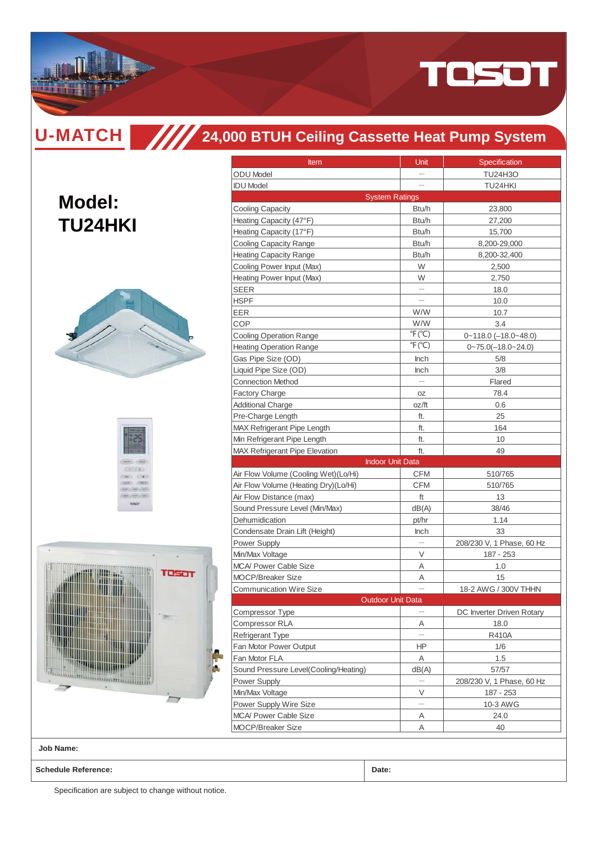

# **24,000 BTUH Ceiling Cassette Heat Pump System**

| <b>Model:</b><br><b>TU24HKI</b> |  |
|---------------------------------|--|
|                                 |  |
| $-1+1$<br>(1)                   |  |
| reson<br>ij<br><b>AMARET</b>    |  |

| Item                                  | Unit                      | Specification             |
|---------------------------------------|---------------------------|---------------------------|
| <b>ODU</b> Model                      | $\overline{\phantom{0}}$  | <b>TU24H3O</b>            |
| <b>IDU Model</b>                      |                           | TU24HKI                   |
| <b>System Ratings</b>                 |                           |                           |
| <b>Cooling Capacity</b>               | Btu/h                     | 23,800                    |
| Heating Capacity (47°F)               | Btu/h                     | 27,200                    |
| Heating Capacity (17°F)               | Btu/h                     | 15,700                    |
| Cooling Capacity Range                | Btu/h                     | 8,200-29,000              |
| <b>Heating Capacity Range</b>         | Btu/h                     | 8,200-32,400              |
| Cooling Power Input (Max)             | W                         | 2,500                     |
| Heating Power Input (Max)             | W                         | 2,750                     |
| <b>SEER</b>                           |                           | 18.0                      |
| <b>HSPF</b>                           |                           | 10.0                      |
| EER                                   | W/W                       | 10.7                      |
| COP                                   | W/W                       | 3.4                       |
| <b>Cooling Operation Range</b>        | $\degree$ F( $\degree$ C) | $0 - 118.0$ (-18.0~48.0)  |
| <b>Heating Operation Range</b>        | $\degree$ F( $\degree$ C) | $0 - 75.0(-18.0 - 24.0)$  |
| Gas Pipe Size (OD)                    | Inch                      | 5/8                       |
| Liquid Pipe Size (OD)                 | <b>Inch</b>               | 3/8                       |
| <b>Connection Method</b>              |                           | Flared                    |
| <b>Factory Charge</b>                 | 0Z                        | 78.4                      |
| <b>Additional Charge</b>              | oz/ft                     | 0.6                       |
| Pre-Charge Length                     | ft.                       | 25                        |
| <b>MAX Refrigerant Pipe Length</b>    | ft.                       | 164                       |
| Min Refrigerant Pipe Length           | ft.                       | 10                        |
| <b>MAX Refrigerant Pipe Elevation</b> | ft.                       | 49                        |
| <b>Indoor Unit Data</b>               |                           |                           |
| Air Flow Volume (Cooling Wet)(Lo/Hi)  | CFM                       | 510/765                   |
| Air Flow Volume (Heating Dry)(Lo/Hi)  | CFM                       | 510/765                   |
| Air Flow Distance (max)               | ft                        | 13                        |
| Sound Pressure Level (Min/Max)        | dB(A)                     | 38/46                     |
| Dehumidication                        | pt/hr                     | 1.14                      |
| Condensate Drain Lift (Height)        | Inch                      | 33                        |
| Power Supply                          |                           | 208/230 V, 1 Phase, 60 Hz |
| Min/Max Voltage                       | V                         | 187 - 253                 |
| <b>MCA/ Power Cable Size</b>          | Α                         | 1.0                       |
| <b>MOCP/Breaker Size</b>              | Α                         | 15                        |
| <b>Communication Wire Size</b>        |                           | 18-2 AWG / 300V THHN      |
| <b>Outdoor Unit Data</b>              |                           |                           |
| Compressor Type                       | $\overline{\phantom{0}}$  | DC Inverter Driven Rotary |
| Compressor RLA                        | Α                         | 18.0                      |
| <b>Refrigerant Type</b>               |                           | R410A                     |
| Fan Motor Power Output                | ΗP                        | 1/6                       |
| Fan Motor FLA                         | Α                         | 1.5                       |
| Sound Pressure Level(Cooling/Heating) | dB(A)                     | 57/57                     |
| Power Supply                          |                           | 208/230 V, 1 Phase, 60 Hz |
| Min/Max Voltage                       | V                         | 187 - 253                 |
| Power Supply Wire Size                |                           | 10-3 AWG                  |
| <b>MCA/ Power Cable Size</b>          | Α                         | 24.0                      |
| <b>MOCP/Breaker Size</b>              | Α                         | 40                        |
|                                       |                           |                           |

**Job Name:**

**Schedule Reference: Date:**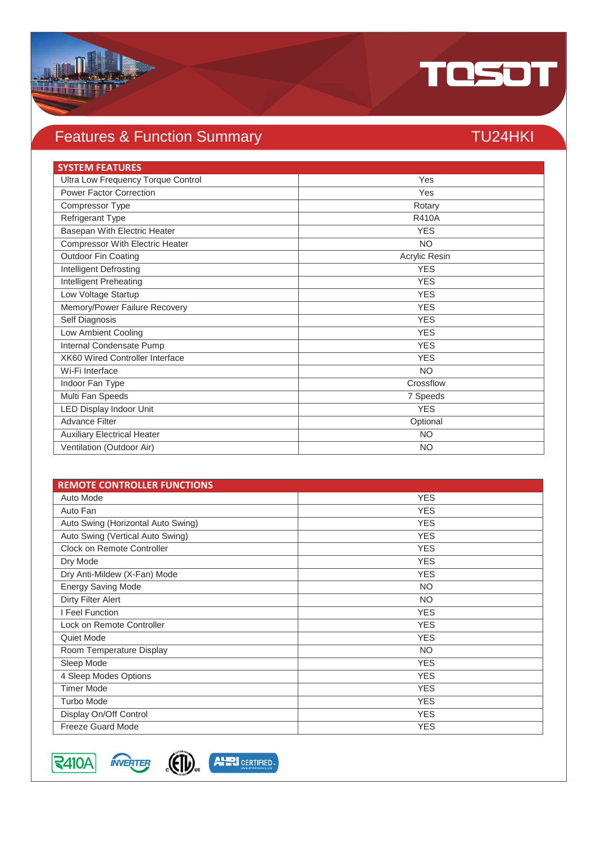

### Features & Function Summary TU24HKI

### **SYSTEM FEATURES** Ultra Low Frequency Torque Control Ves Power Factor Correction Yes Compressor Type Rotary Refrigerant Type R410A Basepan With Electric Heater **YES** Compressor With Electric Heater NO Outdoor Fin Coating **Acrylic Resin Acrylic Resin Acrylic Resin Intelligent Defrosting YES** YES **Intelligent Preheating YES** Low Voltage Startup YES Memory/Power Failure Recovery **YES** Self Diagnosis YES Low Ambient Cooling YES **Internal Condensate Pump YES** XK60 Wired Controller Interface YES Wi-Fi Interface NO Indoor Fan Type Crossflow Multi Fan Speeds 7 Speeds and 2008 and 2009 and 2009 and 2009 and 2009 and 2009 and 2009 and 2009 and 2009 and 2009 and 2009 and 2009 and 2009 and 2009 and 2009 and 2009 and 2009 and 2009 and 2009 and 2009 and 2009 and 200 LED Display Indoor Unit YES Advance Filter Optional Auxiliary Electrical Heater NO Ventilation (Outdoor Air) NO

| <b>REMOTE CONTROLLER FUNCTIONS</b> |            |
|------------------------------------|------------|
| Auto Mode                          | <b>YES</b> |
| Auto Fan                           | <b>YES</b> |
| Auto Swing (Horizontal Auto Swing) | <b>YES</b> |
| Auto Swing (Vertical Auto Swing)   | <b>YES</b> |
| Clock on Remote Controller         | <b>YES</b> |
| Dry Mode                           | <b>YES</b> |
| Dry Anti-Mildew (X-Fan) Mode       | <b>YES</b> |
| <b>Energy Saving Mode</b>          | <b>NO</b>  |
| <b>Dirty Filter Alert</b>          | <b>NO</b>  |
| I Feel Function                    | <b>YES</b> |
| Lock on Remote Controller          | <b>YES</b> |
| Quiet Mode                         | <b>YES</b> |
| Room Temperature Display           | <b>NO</b>  |
| Sleep Mode                         | <b>YES</b> |
| 4 Sleep Modes Options              | <b>YES</b> |
| <b>Timer Mode</b>                  | <b>YES</b> |
| <b>Turbo Mode</b>                  | <b>YES</b> |
| Display On/Off Control             | <b>YES</b> |
| <b>Freeze Guard Mode</b>           | <b>YES</b> |

 $|\textsf{R410A}|$ 



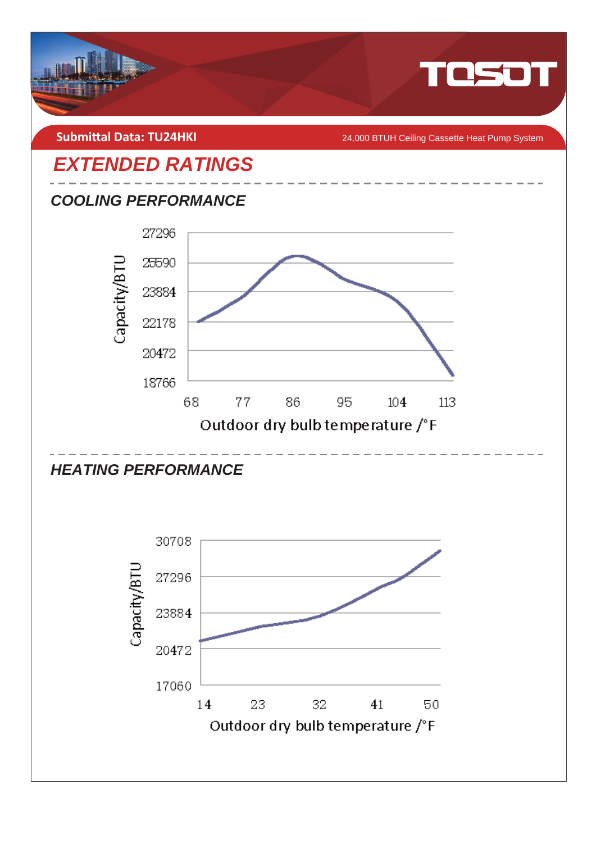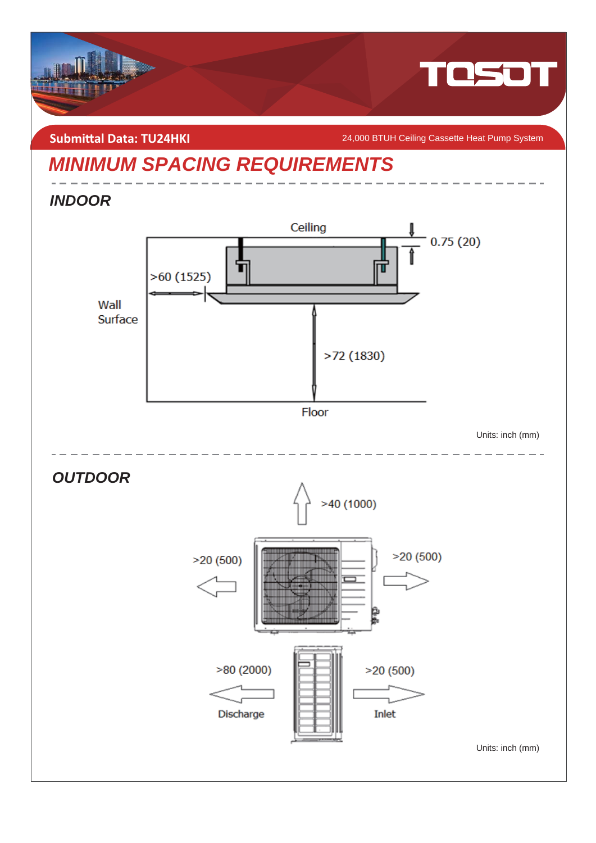

### **Submittal Data: TU24HKI**

24,000 BTUH Ceiling Cassette Heat Pump System

## *MINIMUM SPACING REQUIREMENTS*

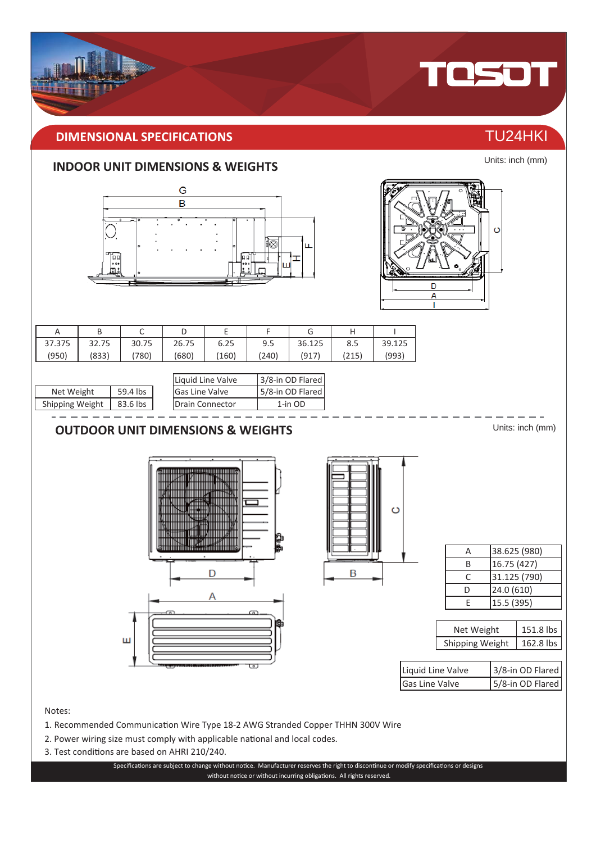

### **INDOOR UNIT DIMENSIONS & WEIGHTS**



- 2. Power wiring size must comply with applicable national and local codes.
- 3. Test conditions are based on AHRI 210/240.

Specifications are subject to change without notice. Manufacturer reserves the right to discontinue or modify specifications or designs without notice or without incurring obligations. All rights reserved.

Units: inch (mm)

TOSOT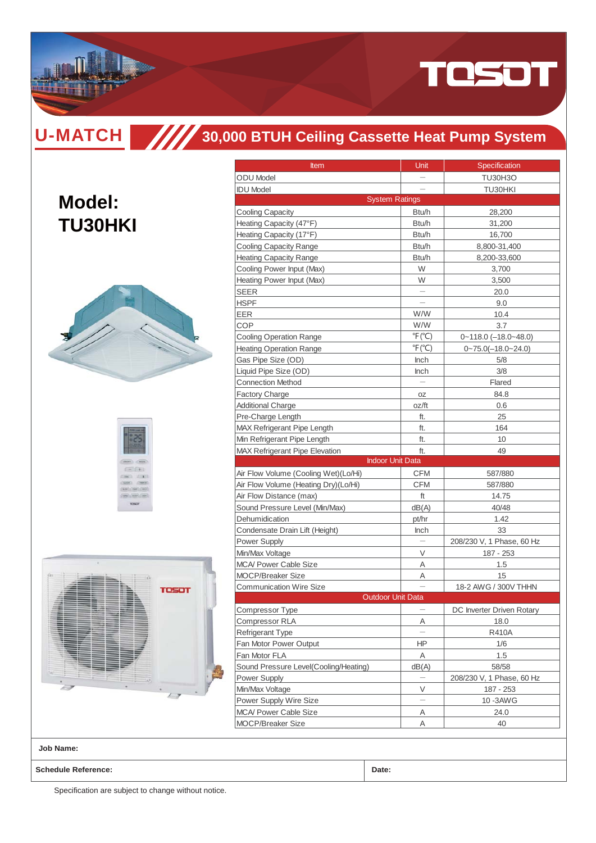

**Model:**

# **30,000 BTUH Ceiling Cassette Heat Pump System**

| <b>TU30HKI</b> |  |
|----------------|--|
|                |  |





| <b>Item</b>                           | Unit                      | Specification                |
|---------------------------------------|---------------------------|------------------------------|
| <b>ODU</b> Model                      |                           | <b>TU30H3O</b>               |
| <b>IDU Model</b>                      |                           | TU30HKI                      |
|                                       | <b>System Ratings</b>     |                              |
| <b>Cooling Capacity</b>               | Btu/h                     | 28,200                       |
| Heating Capacity (47°F)               | Btu/h                     | 31,200                       |
| Heating Capacity (17°F)               | Btu/h                     | 16,700                       |
| <b>Cooling Capacity Range</b>         | Btu/h                     | 8,800-31,400                 |
| <b>Heating Capacity Range</b>         | Btu/h                     | 8,200-33,600                 |
| Cooling Power Input (Max)             | W                         | 3,700                        |
| Heating Power Input (Max)             | W                         | 3,500                        |
| SEER                                  |                           | 20.0                         |
| HSPF                                  |                           | 9.0                          |
| EER                                   | W/W                       | 10.4                         |
| COP                                   | W/W                       | 3.7                          |
| Cooling Operation Range               | $\degree$ F( $\degree$ C) | $0 - 118.0$ $(-18.0 - 48.0)$ |
| <b>Heating Operation Range</b>        | $\degree$ F( $\degree$ C) | $0 - 75.0(-18.0 - 24.0)$     |
| Gas Pipe Size (OD)                    | <b>Inch</b>               | 5/8                          |
| Liquid Pipe Size (OD)                 | Inch                      | 3/8                          |
| <b>Connection Method</b>              |                           | Flared                       |
| <b>Factory Charge</b>                 | OΖ                        | 84.8                         |
| <b>Additional Charge</b>              | oz/ft                     | 0.6                          |
| Pre-Charge Length                     | ft.                       | 25                           |
| MAX Refrigerant Pipe Length           | ft.                       | 164                          |
| Min Refrigerant Pipe Length           | ft.                       | 10                           |
| <b>MAX Refrigerant Pipe Elevation</b> | ft.                       | 49                           |
|                                       | <b>Indoor Unit Data</b>   |                              |
| Air Flow Volume (Cooling Wet)(Lo/Hi)  | <b>CFM</b>                | 587/880                      |
| Air Flow Volume (Heating Dry)(Lo/Hi)  | CFM                       | 587/880                      |
| Air Flow Distance (max)               | ft                        | 14.75                        |
| Sound Pressure Level (Min/Max)        | dB(A)                     | 40/48                        |
| Dehumidication                        | pt/hr                     | 1.42                         |
| Condensate Drain Lift (Height)        | <b>Inch</b>               | 33                           |
| Power Supply                          |                           | 208/230 V, 1 Phase, 60 Hz    |
| Min/Max Voltage                       | V                         | 187 - 253                    |
| <b>MCA/ Power Cable Size</b>          | Α                         | 1.5                          |
| <b>MOCP/Breaker Size</b>              | Α                         | 15                           |
| <b>Communication Wire Size</b>        |                           | 18-2 AWG / 300V THHN         |
|                                       | <b>Outdoor Unit Data</b>  |                              |
| Compressor Type                       |                           | DC Inverter Driven Rotary    |
| Compressor RLA                        | Α                         | 18.0                         |
| <b>Refrigerant Type</b>               |                           | R410A                        |
| Fan Motor Power Output                | ΗP                        | 1/6                          |
| Fan Motor FLA                         | Α                         | 1.5                          |
| Sound Pressure Level(Cooling/Heating) | dB(A)                     | 58/58                        |
| Power Supply                          |                           | 208/230 V, 1 Phase, 60 Hz    |
| Min/Max Voltage                       | V                         | 187 - 253                    |
| Power Supply Wire Size                |                           | 10-3AWG                      |
| <b>MCA/ Power Cable Size</b>          | Α                         | 24.0                         |
|                                       |                           |                              |
| <b>MOCP/Breaker Size</b>              | Α                         | 40                           |

**Job Name:**

**Schedule Reference: Date:**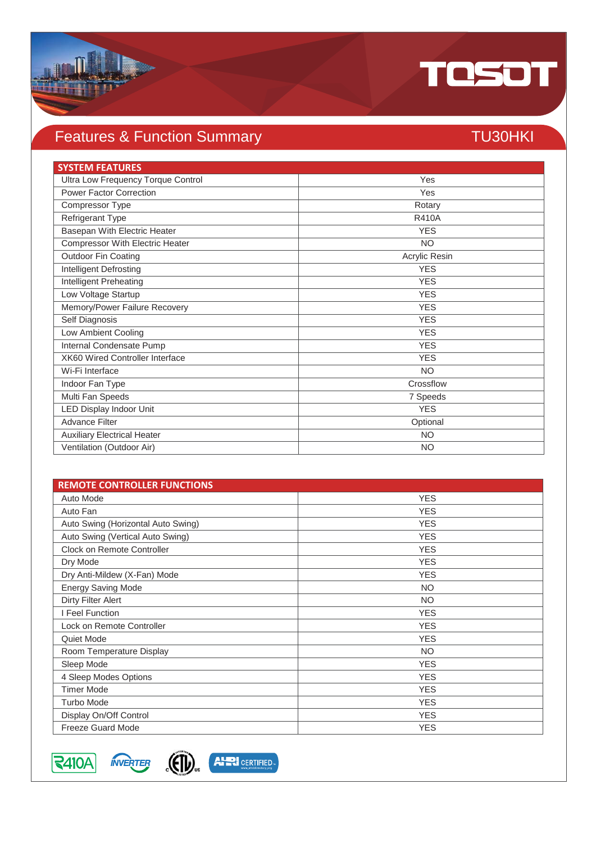

## Features & Function Summary TU30HKI

| <b>SYSTEM FEATURES</b>                 |               |
|----------------------------------------|---------------|
| Ultra Low Frequency Torque Control     | Yes           |
| <b>Power Factor Correction</b>         | Yes           |
| Compressor Type                        | Rotary        |
| <b>Refrigerant Type</b>                | <b>R410A</b>  |
| Basepan With Electric Heater           | <b>YES</b>    |
| <b>Compressor With Electric Heater</b> | <b>NO</b>     |
| Outdoor Fin Coating                    | Acrylic Resin |
| Intelligent Defrosting                 | <b>YES</b>    |
| Intelligent Preheating                 | <b>YES</b>    |
| Low Voltage Startup                    | <b>YES</b>    |
| Memory/Power Failure Recovery          | <b>YES</b>    |
| Self Diagnosis                         | <b>YES</b>    |
| Low Ambient Cooling                    | <b>YES</b>    |
| Internal Condensate Pump               | <b>YES</b>    |
| <b>XK60 Wired Controller Interface</b> | <b>YES</b>    |
| Wi-Fi Interface                        | <b>NO</b>     |
| Indoor Fan Type                        | Crossflow     |
| Multi Fan Speeds                       | 7 Speeds      |
| LED Display Indoor Unit                | <b>YES</b>    |
| <b>Advance Filter</b>                  | Optional      |
| <b>Auxiliary Electrical Heater</b>     | <b>NO</b>     |
| Ventilation (Outdoor Air)              | <b>NO</b>     |

| <b>REMOTE CONTROLLER FUNCTIONS</b> |            |
|------------------------------------|------------|
| Auto Mode                          | <b>YES</b> |
| Auto Fan                           | <b>YES</b> |
| Auto Swing (Horizontal Auto Swing) | <b>YES</b> |
| Auto Swing (Vertical Auto Swing)   | <b>YES</b> |
| Clock on Remote Controller         | <b>YES</b> |
| Dry Mode                           | <b>YES</b> |
| Dry Anti-Mildew (X-Fan) Mode       | <b>YES</b> |
| <b>Energy Saving Mode</b>          | <b>NO</b>  |
| Dirty Filter Alert                 | <b>NO</b>  |
| Feel Function                      | <b>YES</b> |
| Lock on Remote Controller          | <b>YES</b> |
| Quiet Mode                         | <b>YES</b> |
| Room Temperature Display           | <b>NO</b>  |
| Sleep Mode                         | <b>YES</b> |
| 4 Sleep Modes Options              | <b>YES</b> |
| <b>Timer Mode</b>                  | <b>YES</b> |
| <b>Turbo Mode</b>                  | <b>YES</b> |
| Display On/Off Control             | <b>YES</b> |
| <b>Freeze Guard Mode</b>           | <b>YES</b> |

 $\sqrt{\sqrt{2410A}}$ 



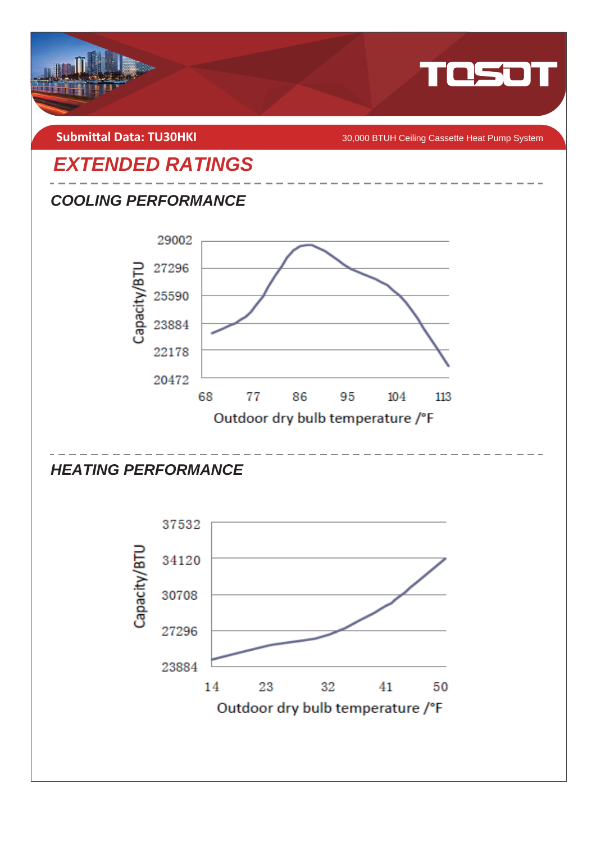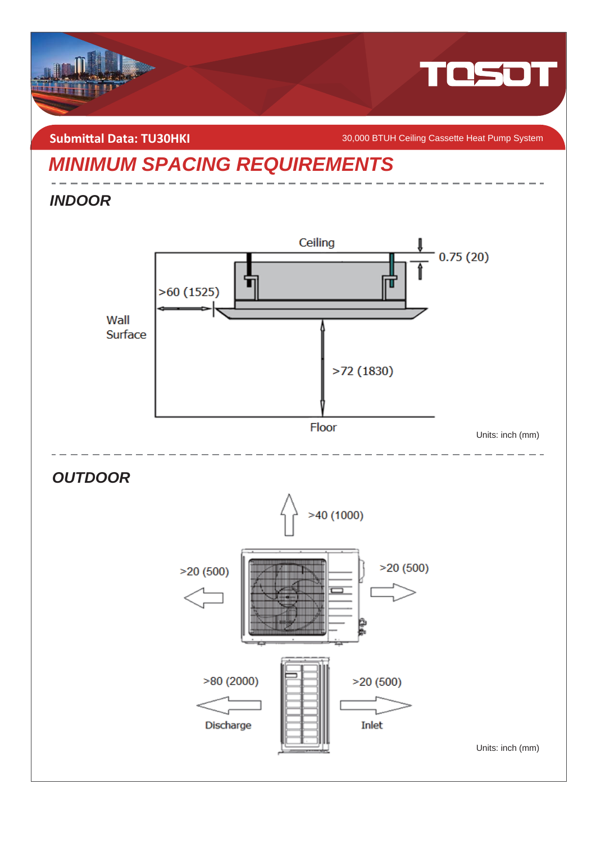

**Submittal Data: TU30HKI** *COMBITAGE SUBMITER SUBMITER SUBMITER SUBMITER SUBMITER System* 

## *MINIMUM SPACING REQUIREMENTS*



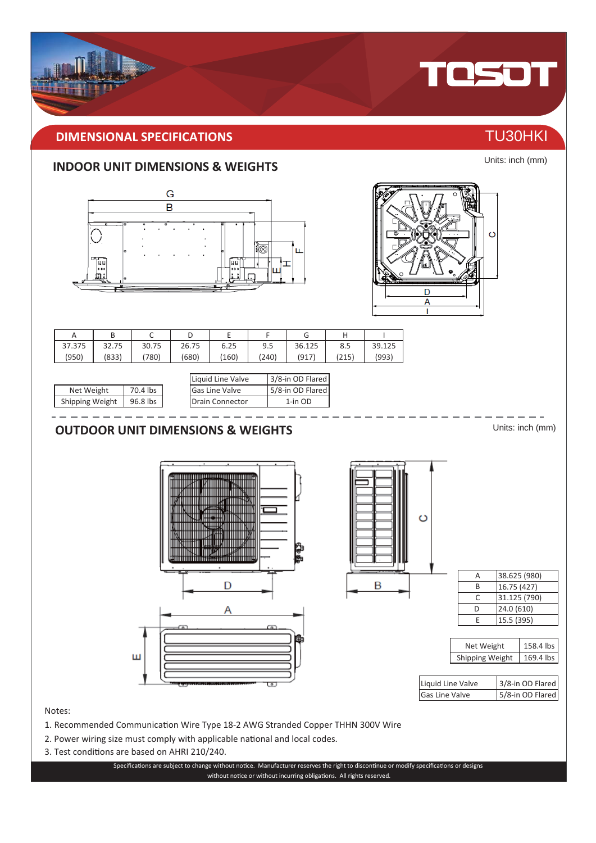

Units: inch (mm)

158.4 lbs





### 1. Recommended Communication Wire Type 18-2 AWG Stranded Copper THHN 300V Wire

- 2. Power wiring size must comply with applicable national and local codes.
- 3. Test conditions are based on AHRI 210/240.

Notes:

Specifications are subject to change without notice. Manufacturer reserves the right to discontinue or modify specifications or designs without notice or without incurring obligations. All rights reserved.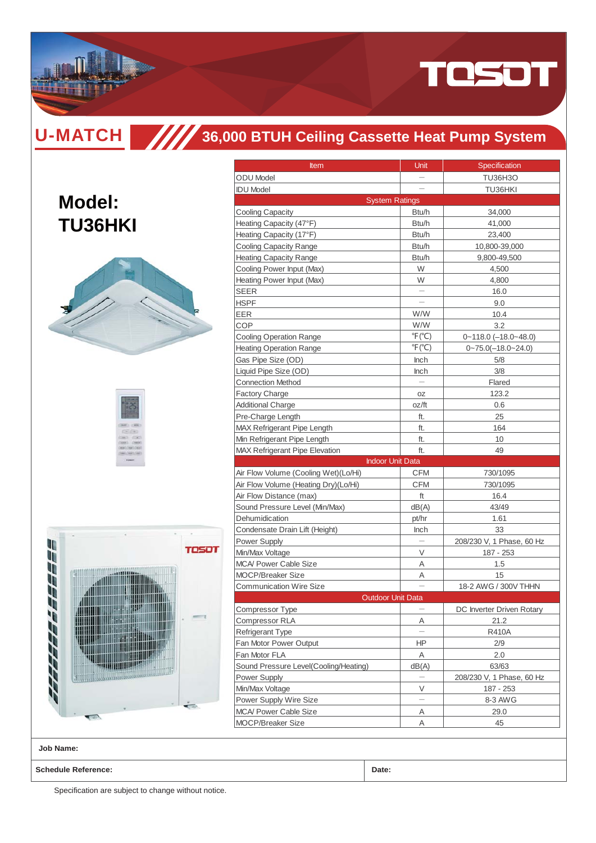

**Model:**

**TU36HKI**

## **36,000 BTUH Ceiling Cassette Heat Pump System**

|                |       | Cooling<br><b>Heating</b><br>Cooling<br>Heating<br><b>SEER</b><br><b>HSPF</b><br>EER<br>COP<br>Cooling<br>Heating<br>Gas Pip<br>Liquid P<br>Connect<br>Factory<br>Addition<br>Pre-Cha<br>MAX Re<br>Min Refr<br>MAX Re |
|----------------|-------|-----------------------------------------------------------------------------------------------------------------------------------------------------------------------------------------------------------------------|
|                |       | Air Flow<br>Air Flow<br>Air Flow<br>Sound F<br>Dehumi                                                                                                                                                                 |
| 10<br>UĒ<br>I) | TOSOT | Conden:<br>Power S<br>Min/Max<br>MCA/Po<br>MOCP/E<br>Commu                                                                                                                                                            |
| h<br>i<br>J    |       | Compre<br>Compre<br>Refriger<br>Fan Mot<br>Fan Mot<br>Sound F<br>Power S                                                                                                                                              |
| $-202$         |       | Min/Max<br>Power S<br>MCA/Po<br>MOCP/E                                                                                                                                                                                |

| <b>Item</b>                                                                                                            | Unit                      | Specification             |  |  |
|------------------------------------------------------------------------------------------------------------------------|---------------------------|---------------------------|--|--|
| <b>ODU</b> Model                                                                                                       |                           | <b>TU36H3O</b>            |  |  |
| <b>IDU Model</b>                                                                                                       |                           | TU36HKI                   |  |  |
| <b>System Ratings</b>                                                                                                  |                           |                           |  |  |
| <b>Cooling Capacity</b>                                                                                                | Btu/h                     | 34,000                    |  |  |
| Heating Capacity (47°F)                                                                                                | Btu/h                     | 41,000                    |  |  |
| Heating Capacity (17°F)                                                                                                | Btu/h                     | 23,400                    |  |  |
| <b>Cooling Capacity Range</b>                                                                                          | Btu/h                     | 10,800-39,000             |  |  |
| <b>Heating Capacity Range</b>                                                                                          | Btu/h                     | 9,800-49,500              |  |  |
| Cooling Power Input (Max)                                                                                              | W                         | 4,500                     |  |  |
| Heating Power Input (Max)                                                                                              | W                         | 4,800                     |  |  |
| SEER                                                                                                                   |                           | 16.0                      |  |  |
| HSPF                                                                                                                   |                           | 9.0                       |  |  |
| EER                                                                                                                    | W/W                       | 10.4                      |  |  |
| COP                                                                                                                    | W/W                       | 3.2                       |  |  |
| <b>Cooling Operation Range</b>                                                                                         | $\degree$ F( $\degree$ C) | $0 - 118.0$ (-18.0~48.0)  |  |  |
| <b>Heating Operation Range</b>                                                                                         | $\degree$ F( $\degree$ C) | $0 - 75.0(-18.0 - 24.0)$  |  |  |
| Gas Pipe Size (OD)                                                                                                     | Inch                      | 5/8                       |  |  |
| Liquid Pipe Size (OD)                                                                                                  | <b>Inch</b>               | 3/8                       |  |  |
| <b>Connection Method</b>                                                                                               |                           | Flared                    |  |  |
| <b>Factory Charge</b>                                                                                                  | OZ                        | 123.2                     |  |  |
| <b>Additional Charge</b>                                                                                               | oz/ft                     | 0.6                       |  |  |
| Pre-Charge Length                                                                                                      | ft.                       | 25                        |  |  |
| MAX Refrigerant Pipe Length                                                                                            | ft.                       | 164                       |  |  |
| Min Refrigerant Pipe Length                                                                                            | ft.                       | 10                        |  |  |
| <b>MAX Refrigerant Pipe Elevation</b>                                                                                  | ft.                       | 49                        |  |  |
|                                                                                                                        |                           |                           |  |  |
| <b>Indoor Unit Data</b>                                                                                                |                           |                           |  |  |
| Air Flow Volume (Cooling Wet)(Lo/Hi)                                                                                   | CFM                       | 730/1095                  |  |  |
| Air Flow Volume (Heating Dry)(Lo/Hi)                                                                                   | <b>CFM</b>                | 730/1095                  |  |  |
| Air Flow Distance (max)                                                                                                | ft                        | 16.4                      |  |  |
| Sound Pressure Level (Min/Max)                                                                                         | dB(A)                     | 43/49                     |  |  |
| Dehumidication                                                                                                         | pt/hr                     | 1.61                      |  |  |
| Condensate Drain Lift (Height)                                                                                         | <b>Inch</b>               | 33                        |  |  |
| <b>Power Supply</b>                                                                                                    |                           | 208/230 V, 1 Phase, 60 Hz |  |  |
| Min/Max Voltage                                                                                                        | V                         | 187 - 253                 |  |  |
|                                                                                                                        | Α                         | 1.5                       |  |  |
|                                                                                                                        | Α                         | 15                        |  |  |
|                                                                                                                        |                           | 18-2 AWG / 300V THHN      |  |  |
| <b>MCA/ Power Cable Size</b><br><b>MOCP/Breaker Size</b><br><b>Communication Wire Size</b><br><b>Outdoor Unit Data</b> |                           |                           |  |  |
| Compressor Type                                                                                                        |                           | DC Inverter Driven Rotary |  |  |
| <b>Compressor RLA</b>                                                                                                  | Α                         | 21.2                      |  |  |
|                                                                                                                        |                           | <b>R410A</b>              |  |  |
| Refrigerant Type<br>Fan Motor Power Output                                                                             | HP.                       | 2/9                       |  |  |
| Fan Motor FLA                                                                                                          | Α                         | 2.0                       |  |  |
| Sound Pressure Level(Cooling/Heating)                                                                                  | dB(A)                     | 63/63                     |  |  |
| Power Supply                                                                                                           |                           | 208/230 V, 1 Phase, 60 Hz |  |  |
| Min/Max Voltage                                                                                                        | V                         | 187 - 253                 |  |  |
| Power Supply Wire Size                                                                                                 |                           | 8-3 AWG                   |  |  |
| <b>MCA/ Power Cable Size</b>                                                                                           | Α                         | 29.0                      |  |  |
| <b>MOCP/Breaker Size</b>                                                                                               | Α                         | 45                        |  |  |

**Job Name:**

**Schedule Reference: Date:**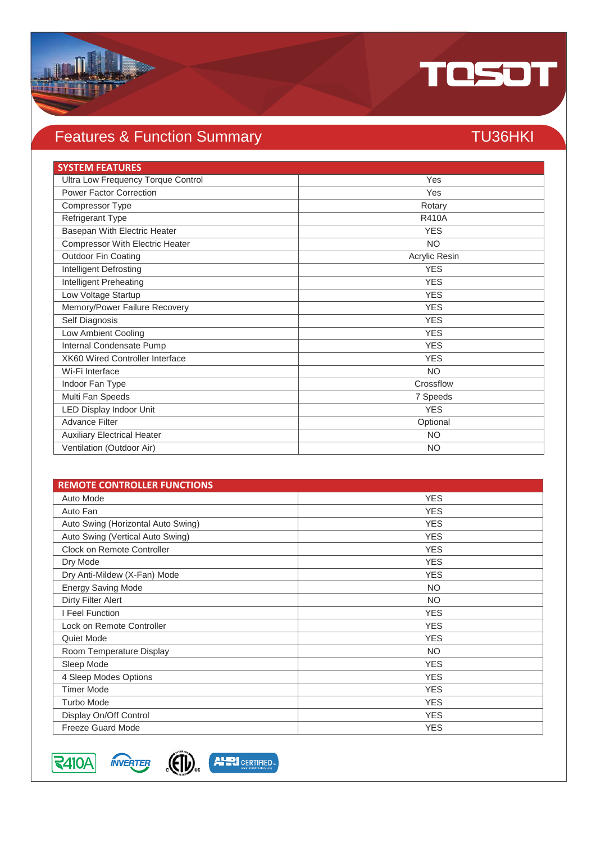

## Features & Function Summary TU36HKI

| <b>SYSTEM FEATURES</b>                 |               |
|----------------------------------------|---------------|
| Ultra Low Frequency Torque Control     | Yes           |
| <b>Power Factor Correction</b>         | Yes           |
| Compressor Type                        | Rotary        |
| <b>Refrigerant Type</b>                | <b>R410A</b>  |
| Basepan With Electric Heater           | <b>YES</b>    |
| Compressor With Electric Heater        | <b>NO</b>     |
| <b>Outdoor Fin Coating</b>             | Acrylic Resin |
| <b>Intelligent Defrosting</b>          | <b>YES</b>    |
| <b>Intelligent Preheating</b>          | <b>YES</b>    |
| Low Voltage Startup                    | <b>YES</b>    |
| Memory/Power Failure Recovery          | <b>YES</b>    |
| Self Diagnosis                         | <b>YES</b>    |
| Low Ambient Cooling                    | <b>YES</b>    |
| Internal Condensate Pump               | <b>YES</b>    |
| <b>XK60 Wired Controller Interface</b> | <b>YES</b>    |
| Wi-Fi Interface                        | <b>NO</b>     |
| Indoor Fan Type                        | Crossflow     |
| Multi Fan Speeds                       | 7 Speeds      |
| LED Display Indoor Unit                | <b>YES</b>    |
| <b>Advance Filter</b>                  | Optional      |
| <b>Auxiliary Electrical Heater</b>     | <b>NO</b>     |
| Ventilation (Outdoor Air)              | <b>NO</b>     |

| <b>REMOTE CONTROLLER FUNCTIONS</b> |            |
|------------------------------------|------------|
| Auto Mode                          | <b>YES</b> |
| Auto Fan                           | <b>YES</b> |
| Auto Swing (Horizontal Auto Swing) | <b>YES</b> |
| Auto Swing (Vertical Auto Swing)   | <b>YES</b> |
| Clock on Remote Controller         | <b>YES</b> |
| Dry Mode                           | <b>YES</b> |
| Dry Anti-Mildew (X-Fan) Mode       | <b>YES</b> |
| <b>Energy Saving Mode</b>          | <b>NO</b>  |
| Dirty Filter Alert                 | <b>NO</b>  |
| I Feel Function                    | <b>YES</b> |
| Lock on Remote Controller          | <b>YES</b> |
| Quiet Mode                         | <b>YES</b> |
| Room Temperature Display           | <b>NO</b>  |
| Sleep Mode                         | <b>YES</b> |
| 4 Sleep Modes Options              | <b>YES</b> |
| <b>Timer Mode</b>                  | <b>YES</b> |
| <b>Turbo Mode</b>                  | <b>YES</b> |
| Display On/Off Control             | <b>YES</b> |
| <b>Freeze Guard Mode</b>           | <b>YES</b> |

 $3410A$ 



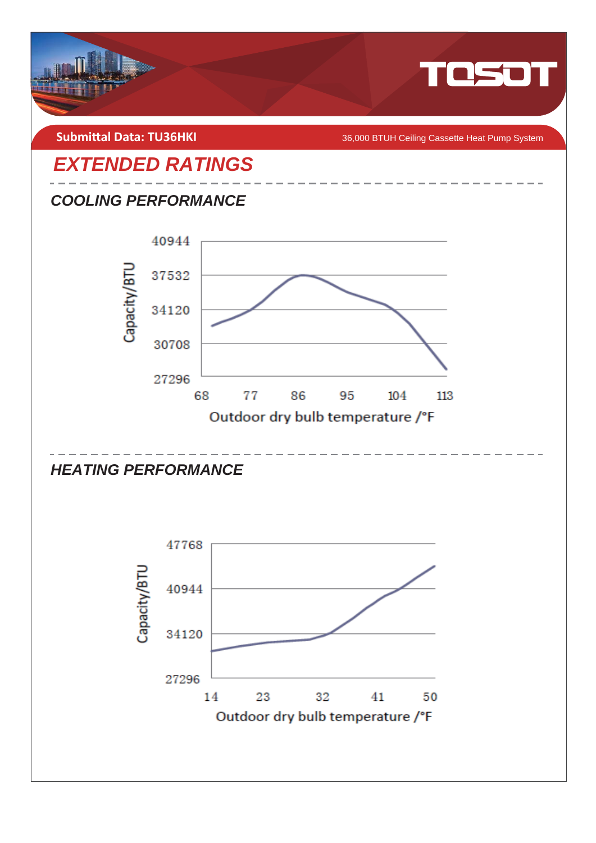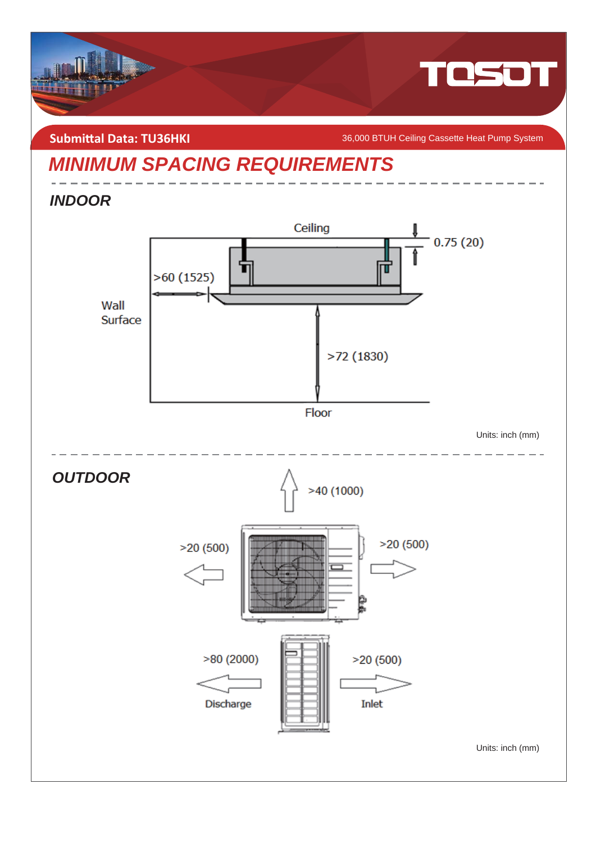

**Submittal Data: TU36HKI** *COMBITAGGA* **BTUH Ceiling Cassette Heat Pump System** 

## *MINIMUM SPACING REQUIREMENTS*

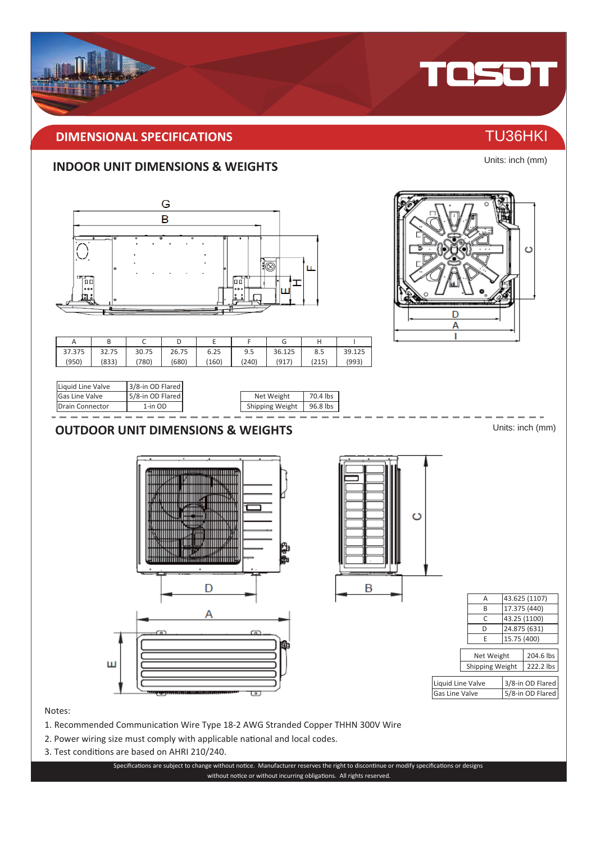### **IMENSIONAL SPECIFICATIONS** THE CONSTRUCTION OF TU36HKI

### **INDOOR UNIT DIMENSIONS & WEIGHTS**



Units: inch (mm)

TOSOT

- 2. Power wiring size must comply with applicable national and local codes.
- 3. Test conditions are based on AHRI 210/240.

Specifications are subject to change without notice. Manufacturer reserves the right to discontinue or modify specifications or designs without notice or without incurring obligations. All rights reserved.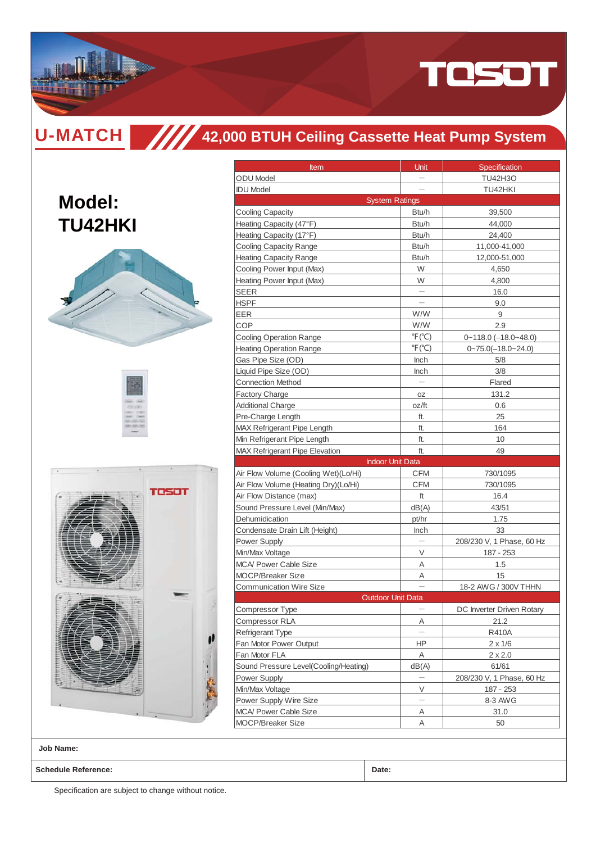

**Model:**

**TU42HKI**

## **42,000 BTUH Ceiling Cassette Heat Pump System**

| reson |
|-------|
|       |
|       |

| Item                                  | Unit                     | Specification                |  |  |
|---------------------------------------|--------------------------|------------------------------|--|--|
| <b>ODU</b> Model                      | $\qquad \qquad -$        | <b>TU42H3O</b>               |  |  |
| <b>IDU Model</b>                      |                          | TU42HKI                      |  |  |
| <b>System Ratings</b>                 |                          |                              |  |  |
| <b>Cooling Capacity</b>               | Btu/h                    | 39,500                       |  |  |
| Heating Capacity (47°F)               | Btu/h                    | 44,000                       |  |  |
| Heating Capacity (17°F)               | Btu/h                    | 24,400                       |  |  |
| <b>Cooling Capacity Range</b>         | Btu/h                    | 11,000-41,000                |  |  |
| <b>Heating Capacity Range</b>         | Btu/h                    | 12,000-51,000                |  |  |
| Cooling Power Input (Max)             | W                        | 4,650                        |  |  |
| Heating Power Input (Max)             | W                        | 4,800                        |  |  |
| <b>SEER</b>                           |                          | 16.0                         |  |  |
| <b>HSPF</b>                           |                          | 9.0                          |  |  |
| EER                                   | W/W                      | 9                            |  |  |
| COP                                   | W/W                      | 2.9                          |  |  |
| <b>Cooling Operation Range</b>        | $\mathrm{P}(\mathrm{C})$ | $0 - 118.0$ (-18.0 $-48.0$ ) |  |  |
| <b>Heating Operation Range</b>        | $\mathrm{P}(\mathrm{C})$ | $0 - 75.0(-18.0 - 24.0)$     |  |  |
| Gas Pipe Size (OD)                    | Inch                     | 5/8                          |  |  |
| Liquid Pipe Size (OD)                 | <b>Inch</b>              | 3/8                          |  |  |
| <b>Connection Method</b>              |                          | Flared                       |  |  |
| <b>Factory Charge</b>                 | OZ                       | 131.2                        |  |  |
| <b>Additional Charge</b>              | oz/ft                    | 0.6                          |  |  |
| Pre-Charge Length                     | ft.                      | 25                           |  |  |
| <b>MAX Refrigerant Pipe Length</b>    | ft.                      | 164                          |  |  |
| Min Refrigerant Pipe Length           | ft.                      | 10                           |  |  |
| <b>MAX Refrigerant Pipe Elevation</b> | ft.                      | 49                           |  |  |
|                                       |                          |                              |  |  |
| <b>Indoor Unit Data</b>               |                          |                              |  |  |
| Air Flow Volume (Cooling Wet)(Lo/Hi)  | <b>CFM</b>               | 730/1095                     |  |  |
| Air Flow Volume (Heating Dry)(Lo/Hi)  | <b>CFM</b>               | 730/1095                     |  |  |
| Air Flow Distance (max)               | ft                       | 16.4                         |  |  |
| Sound Pressure Level (Min/Max)        | dB(A)                    | 43/51                        |  |  |
| Dehumidication                        | pt/hr                    | 1.75                         |  |  |
| Condensate Drain Lift (Height)        | Inch                     | 33                           |  |  |
| Power Supply                          |                          | 208/230 V, 1 Phase, 60 Hz    |  |  |
| Min/Max Voltage                       | V                        | 187 - 253                    |  |  |
| <b>MCA/ Power Cable Size</b>          | Α                        | 1.5                          |  |  |
| <b>MOCP/Breaker Size</b>              | Α                        | 15                           |  |  |
| <b>Communication Wire Size</b>        |                          | 18-2 AWG / 300V THHN         |  |  |
| Outdoor Unit Data                     |                          |                              |  |  |
| Compressor Type                       |                          | DC Inverter Driven Rotary    |  |  |
| Compressor RLA                        | Α                        | 21.2                         |  |  |
| Refrigerant Type                      |                          | R410A                        |  |  |
| Fan Motor Power Output                | ΗP                       | $2 \times 1/6$               |  |  |
| Fan Motor FLA                         | Α                        | $2 \times 2.0$               |  |  |
| Sound Pressure Level(Cooling/Heating) | dB(A)                    | 61/61                        |  |  |
| Power Supply                          |                          | 208/230 V, 1 Phase, 60 Hz    |  |  |
| Min/Max Voltage                       | V                        | 187 - 253                    |  |  |
| Power Supply Wire Size                |                          | 8-3 AWG                      |  |  |
| <b>MCA/ Power Cable Size</b>          | Α                        | 31.0                         |  |  |
| MOCP/Breaker Size                     | Α                        | 50                           |  |  |

**Job Name:**

**Schedule Reference: Date:**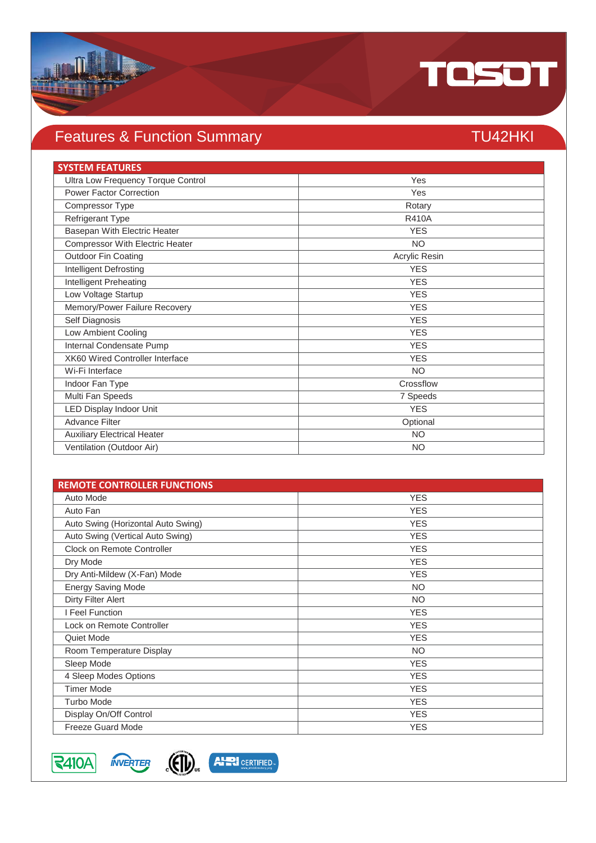

### Features & Function Summary TU42HKI

### **SYSTEM FEATURES** Ultra Low Frequency Torque Control Ves Power Factor Correction Yes Compressor Type Rotary Refrigerant Type R410A Basepan With Electric Heater **YES Compressor With Electric Heater NO** Outdoor Fin Coating **Acrylic Resing Acrylic Resing** Acrylic Resing **Intelligent Defrosting YES** YES Intelligent Preheating YES Low Voltage Startup YES Memory/Power Failure Recovery **YES** Self Diagnosis YES Low Ambient Cooling YES Internal Condensate Pump YES XK60 Wired Controller Interface YES Wi-Fi Interface NO Indoor Fan Type Crossflow Multi Fan Speeds 7 Speeds LED Display Indoor Unit YES Advance Filter Optional Auxiliary Electrical Heater NO Ventilation (Outdoor Air) NO

| <b>REMOTE CONTROLLER FUNCTIONS</b> |            |
|------------------------------------|------------|
| Auto Mode                          | <b>YES</b> |
| Auto Fan                           | <b>YES</b> |
| Auto Swing (Horizontal Auto Swing) | <b>YES</b> |
| Auto Swing (Vertical Auto Swing)   | <b>YES</b> |
| Clock on Remote Controller         | <b>YES</b> |
| Dry Mode                           | <b>YES</b> |
| Dry Anti-Mildew (X-Fan) Mode       | <b>YES</b> |
| <b>Energy Saving Mode</b>          | <b>NO</b>  |
| <b>Dirty Filter Alert</b>          | <b>NO</b>  |
| I Feel Function                    | <b>YES</b> |
| Lock on Remote Controller          | <b>YES</b> |
| Quiet Mode                         | <b>YES</b> |
| Room Temperature Display           | <b>NO</b>  |
| Sleep Mode                         | <b>YES</b> |
| 4 Sleep Modes Options              | <b>YES</b> |
| <b>Timer Mode</b>                  | <b>YES</b> |
| <b>Turbo Mode</b>                  | <b>YES</b> |
| Display On/Off Control             | <b>YES</b> |
| <b>Freeze Guard Mode</b>           | <b>YES</b> |

 $|\textsf{R410A}|$ 



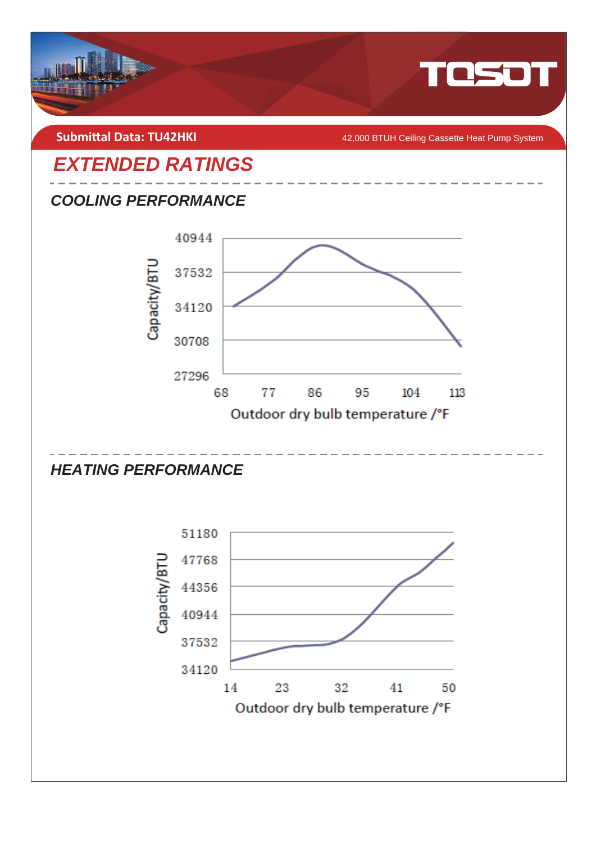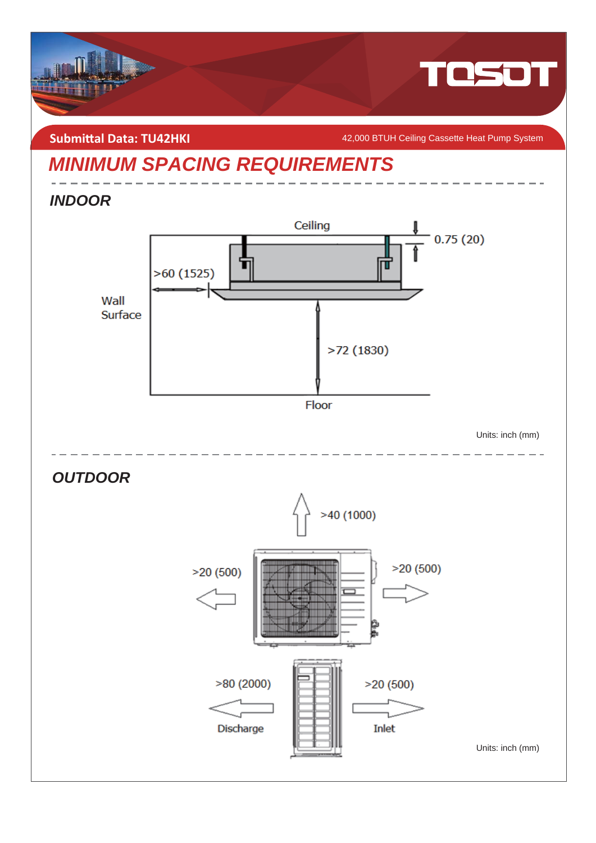

**Submittal Data: TU42HKI** *COMPONE A2,000 BTUH Ceiling Cassette Heat Pump System* 

## *MINIMUM SPACING REQUIREMENTS*

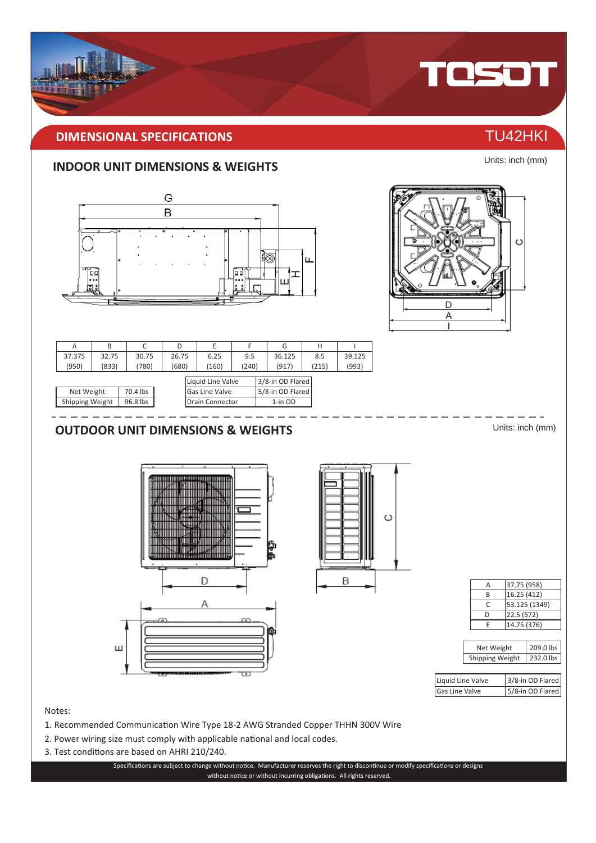

Units: inch (mm)

### **INDOOR UNIT DIMENSIONS & WEIGHTS**



- 2. Power wiring size must comply with applicable national and local codes.
- 3. Test conditions are based on AHRI 210/240.

Specifications are subject to change without notice. Manufacturer reserves the right to discontinue or modify specifications or designs without notice or without incurring obligations. All rights reserved.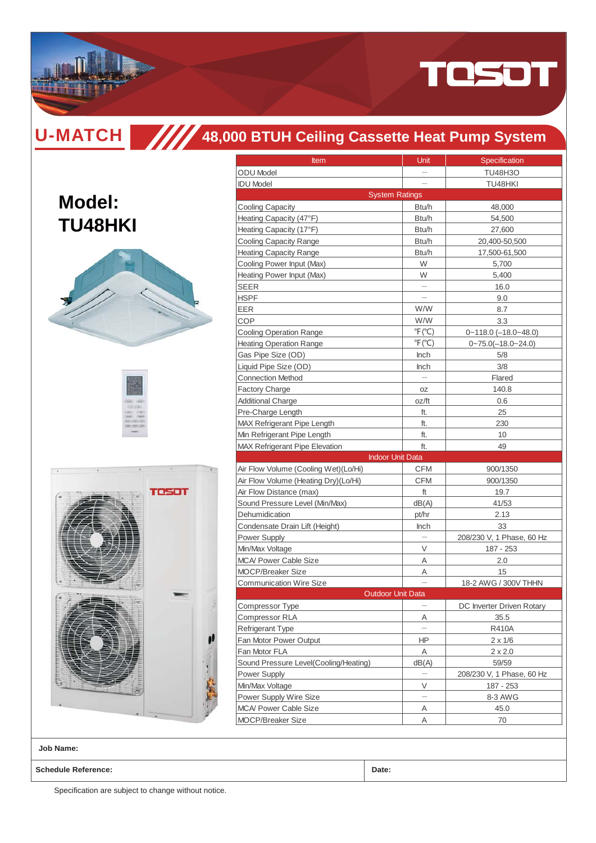

**Model:**

**TU48HKI** 

# **48,000 BTUH Ceiling Cassette Heat Pump System**

| × | rosot |
|---|-------|
|   |       |

| <b>Item</b>                           | Unit                      | Specification                |  |  |
|---------------------------------------|---------------------------|------------------------------|--|--|
| <b>ODU</b> Model                      |                           | <b>TU48H3O</b>               |  |  |
| <b>IDU Model</b>                      |                           | TU48HKI                      |  |  |
| <b>System Ratings</b>                 |                           |                              |  |  |
| <b>Cooling Capacity</b>               | Btu/h                     | 48,000                       |  |  |
| Heating Capacity (47°F)               | Btu/h                     | 54,500                       |  |  |
| Heating Capacity (17°F)               | Btu/h                     | 27,600                       |  |  |
| <b>Cooling Capacity Range</b>         | Btu/h                     | 20,400-50,500                |  |  |
| <b>Heating Capacity Range</b>         | Btu/h                     | 17,500-61,500                |  |  |
| Cooling Power Input (Max)             | W                         | 5,700                        |  |  |
| Heating Power Input (Max)             | W                         | 5,400                        |  |  |
| <b>SEER</b>                           |                           | 16.0                         |  |  |
| <b>HSPF</b>                           |                           | 9.0                          |  |  |
| EER                                   | W/W                       | 8.7                          |  |  |
| COP                                   | W/W                       | 3.3                          |  |  |
| <b>Cooling Operation Range</b>        | $\degree$ F( $\degree$ C) | $0 - 118.0$ $(-18.0 - 48.0)$ |  |  |
| <b>Heating Operation Range</b>        | $\degree$ F( $\degree$ C) | $0 - 75.0(-18.0 - 24.0)$     |  |  |
| Gas Pipe Size (OD)                    | <b>Inch</b>               | 5/8                          |  |  |
| Liquid Pipe Size (OD)                 | Inch                      | 3/8                          |  |  |
| <b>Connection Method</b>              |                           | Flared                       |  |  |
| <b>Factory Charge</b>                 | OZ                        | 140.8                        |  |  |
| <b>Additional Charge</b>              | oz/ft                     | 0.6                          |  |  |
| Pre-Charge Length                     | ft.                       | 25                           |  |  |
| MAX Refrigerant Pipe Length           | ft.                       | 230                          |  |  |
| Min Refrigerant Pipe Length           | ft.                       | 10                           |  |  |
| <b>MAX Refrigerant Pipe Elevation</b> | ft.                       | 49                           |  |  |
| <b>Indoor Unit Data</b>               |                           |                              |  |  |
| Air Flow Volume (Cooling Wet)(Lo/Hi)  | <b>CFM</b>                | 900/1350                     |  |  |
| Air Flow Volume (Heating Dry)(Lo/Hi)  | <b>CFM</b>                | 900/1350                     |  |  |
| Air Flow Distance (max)               | ft                        | 19.7                         |  |  |
| Sound Pressure Level (Min/Max)        | dB(A)                     | 41/53                        |  |  |
| Dehumidication                        | pt/hr                     | 2.13                         |  |  |
| Condensate Drain Lift (Height)        | Inch                      | 33                           |  |  |
| <b>Power Supply</b>                   |                           | 208/230 V, 1 Phase, 60 Hz    |  |  |
| Min/Max Voltage                       | V                         | 187 - 253                    |  |  |
| <b>MCA/ Power Cable Size</b>          | Α                         | 2.0                          |  |  |
| <b>MOCP/Breaker Size</b>              | Α                         | 15                           |  |  |
| <b>Communication Wire Size</b>        |                           | 18-2 AWG / 300V THHN         |  |  |
| <b>Outdoor Unit Data</b>              |                           |                              |  |  |
| Compressor Type                       |                           | DC Inverter Driven Rotary    |  |  |
| <b>Compressor RLA</b>                 | Α                         | 35.5                         |  |  |
| Refrigerant Type                      |                           | R410A                        |  |  |
| Fan Motor Power Output                | ΗP                        | $2 \times 1/6$               |  |  |
| Fan Motor FLA                         | Α                         | $2 \times 2.0$               |  |  |
| Sound Pressure Level(Cooling/Heating) | dB(A)                     | 59/59                        |  |  |
| Power Supply                          |                           | 208/230 V, 1 Phase, 60 Hz    |  |  |
| Min/Max Voltage                       | V                         | 187 - 253                    |  |  |
| Power Supply Wire Size                |                           | 8-3 AWG                      |  |  |
| MCA/ Power Cable Size                 | Α                         | 45.0                         |  |  |
| <b>MOCP/Breaker Size</b>              |                           |                              |  |  |
|                                       | Α                         | 70                           |  |  |

**Job Name:**

**Schedule Reference: Date:**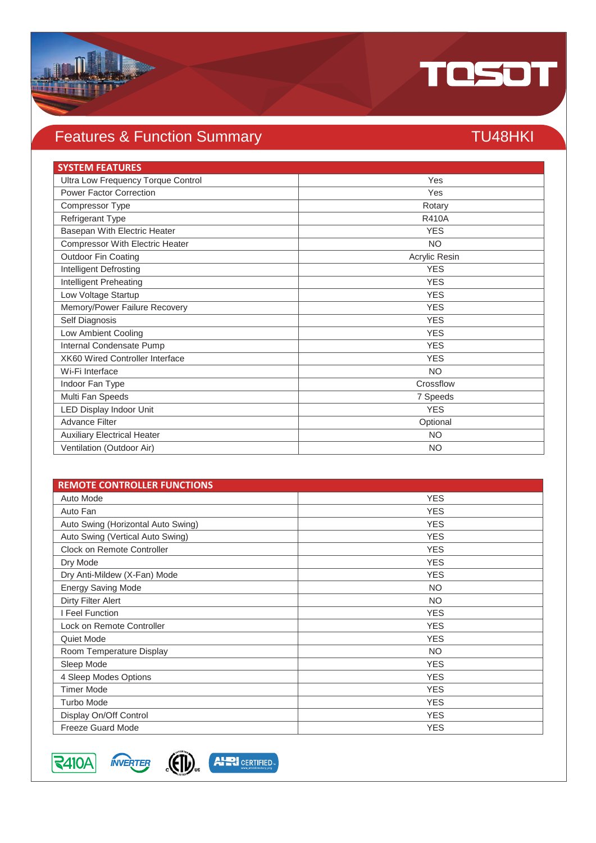

## Features & Function Summary TU48HKI

| <b>SYSTEM FEATURES</b>                 |               |
|----------------------------------------|---------------|
| Ultra Low Frequency Torque Control     | Yes           |
| <b>Power Factor Correction</b>         | Yes           |
| Compressor Type                        | Rotary        |
| Refrigerant Type                       | <b>R410A</b>  |
| Basepan With Electric Heater           | <b>YES</b>    |
| <b>Compressor With Electric Heater</b> | <b>NO</b>     |
| <b>Outdoor Fin Coating</b>             | Acrylic Resin |
| <b>Intelligent Defrosting</b>          | <b>YES</b>    |
| Intelligent Preheating                 | <b>YES</b>    |
| Low Voltage Startup                    | <b>YES</b>    |
| Memory/Power Failure Recovery          | <b>YES</b>    |
| Self Diagnosis                         | <b>YES</b>    |
| Low Ambient Cooling                    | <b>YES</b>    |
| Internal Condensate Pump               | <b>YES</b>    |
| XK60 Wired Controller Interface        | <b>YES</b>    |
| Wi-Fi Interface                        | <b>NO</b>     |
| Indoor Fan Type                        | Crossflow     |
| Multi Fan Speeds                       | 7 Speeds      |
| LED Display Indoor Unit                | <b>YES</b>    |
| <b>Advance Filter</b>                  | Optional      |
| <b>Auxiliary Electrical Heater</b>     | <b>NO</b>     |
| Ventilation (Outdoor Air)              | <b>NO</b>     |

| <b>REMOTE CONTROLLER FUNCTIONS</b> |            |
|------------------------------------|------------|
| Auto Mode                          | <b>YES</b> |
| Auto Fan                           | <b>YES</b> |
| Auto Swing (Horizontal Auto Swing) | <b>YES</b> |
| Auto Swing (Vertical Auto Swing)   | <b>YES</b> |
| Clock on Remote Controller         | <b>YES</b> |
| Dry Mode                           | <b>YES</b> |
| Dry Anti-Mildew (X-Fan) Mode       | <b>YES</b> |
| <b>Energy Saving Mode</b>          | <b>NO</b>  |
| <b>Dirty Filter Alert</b>          | <b>NO</b>  |
| I Feel Function                    | <b>YES</b> |
| Lock on Remote Controller          | <b>YES</b> |
| Quiet Mode                         | <b>YES</b> |
| Room Temperature Display           | NO.        |
| Sleep Mode                         | <b>YES</b> |
| 4 Sleep Modes Options              | <b>YES</b> |
| <b>Timer Mode</b>                  | <b>YES</b> |
| <b>Turbo Mode</b>                  | <b>YES</b> |
| Display On/Off Control             | <b>YES</b> |
| <b>Freeze Guard Mode</b>           | <b>YES</b> |





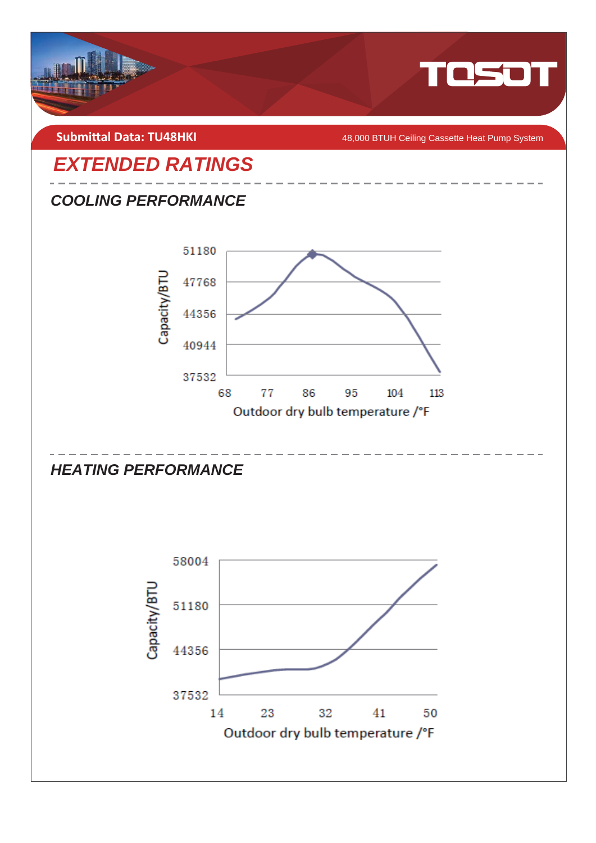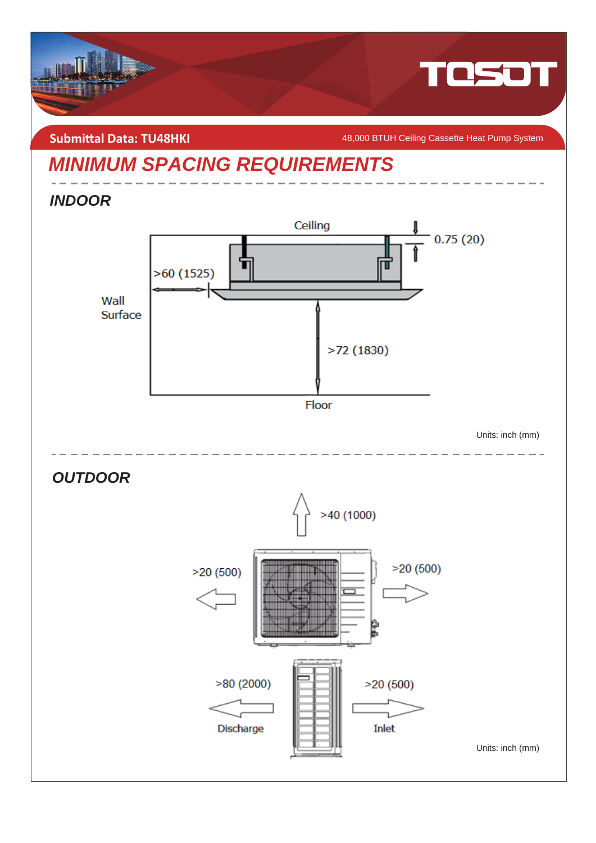

**Submittal Data: TU48HKI** *COMBIT AB,000 BTUH Ceiling Cassette Heat Pump System* 

## *MINIMUM SPACING REQUIREMENTS*